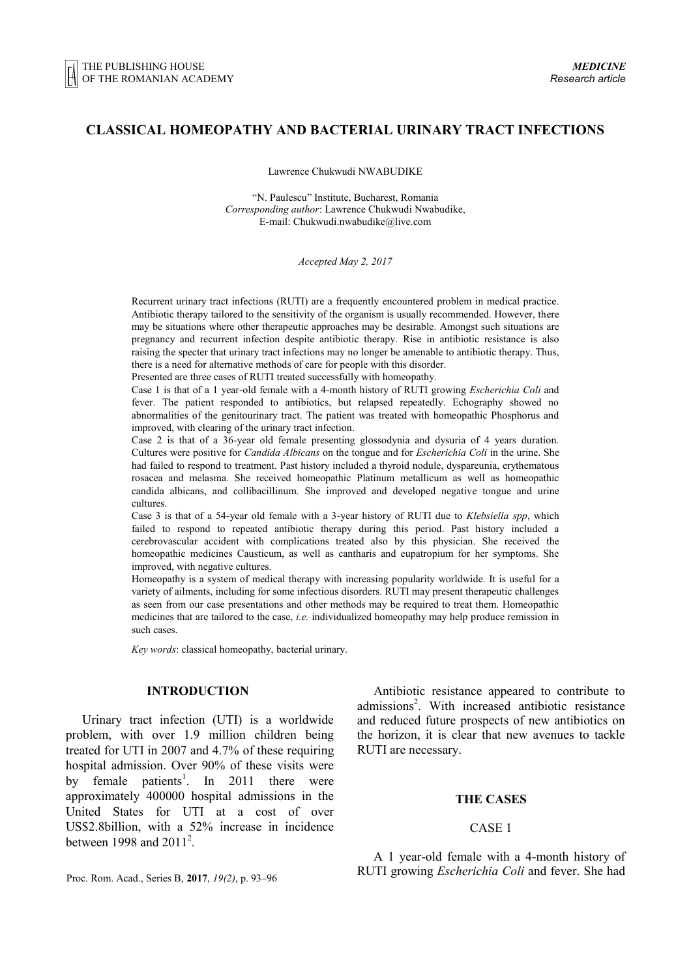# **CLASSICAL HOMEOPATHY AND BACTERIAL URINARY TRACT INFECTIONS**

Lawrence Chukwudi NWABUDIKE

"N. Paulescu" Institute, Bucharest, Romania *Corresponding author*: Lawrence Chukwudi Nwabudike, E-mail[: Chukwudi.nwabudike@live.com](mailto:Chukwudi.nwabudike@live.com)

*Accepted May 2, 2017*

Recurrent urinary tract infections (RUTI) are a frequently encountered problem in medical practice. Antibiotic therapy tailored to the sensitivity of the organism is usually recommended. However, there may be situations where other therapeutic approaches may be desirable. Amongst such situations are pregnancy and recurrent infection despite antibiotic therapy. Rise in antibiotic resistance is also raising the specter that urinary tract infections may no longer be amenable to antibiotic therapy. Thus, there is a need for alternative methods of care for people with this disorder.

Presented are three cases of RUTI treated successfully with homeopathy.

Case 1 is that of a 1 year-old female with a 4-month history of RUTI growing *Escherichia Coli* and fever. The patient responded to antibiotics, but relapsed repeatedly. Echography showed no abnormalities of the genitourinary tract. The patient was treated with homeopathic Phosphorus and improved, with clearing of the urinary tract infection.

Case 2 is that of a 36-year old female presenting glossodynia and dysuria of 4 years duration. Cultures were positive for *Candida Albicans* on the tongue and for *Escherichia Coli* in the urine. She had failed to respond to treatment. Past history included a thyroid nodule, dyspareunia, erythematous rosacea and melasma. She received homeopathic Platinum metallicum as well as homeopathic candida albicans, and collibacillinum. She improved and developed negative tongue and urine cultures.

Case 3 is that of a 54-year old female with a 3-year history of RUTI due to *Klebsiella spp*, which failed to respond to repeated antibiotic therapy during this period. Past history included a cerebrovascular accident with complications treated also by this physician. She received the homeopathic medicines Causticum, as well as cantharis and eupatropium for her symptoms. She improved, with negative cultures.

Homeopathy is a system of medical therapy with increasing popularity worldwide. It is useful for a variety of ailments, including for some infectious disorders. RUTI may present therapeutic challenges as seen from our case presentations and other methods may be required to treat them. Homeopathic medicines that are tailored to the case, *i.e.* individualized homeopathy may help produce remission in such cases.

*Key words*: classical homeopathy, bacterial urinary.

# **INTRODUCTION<sup>1</sup>**

Urinary tract infection (UTI) is a worldwide problem, with over 1.9 million children being treated for UTI in 2007 and 4.7% of these requiring hospital admission. Over 90% of these visits were by female patients<sup>1</sup>. In 2011 there were approximately 400000 hospital admissions in the United States for UTI at a cost of over US\$2.8billion, with a 52% increase in incidence between 1998 and  $2011^2$ .

Antibiotic resistance appeared to contribute to admissions<sup>2</sup>. With increased antibiotic resistance and reduced future prospects of new antibiotics on the horizon, it is clear that new avenues to tackle RUTI are necessary.

# **THE CASES**

### CASE 1

A 1 year-old female with a 4-month history of RUTI growing *Escherichia Coli* and fever. She had

<sup>1</sup>Proc. Rom. Acad., Series B, **2017**, *19(2)*, p. 93–96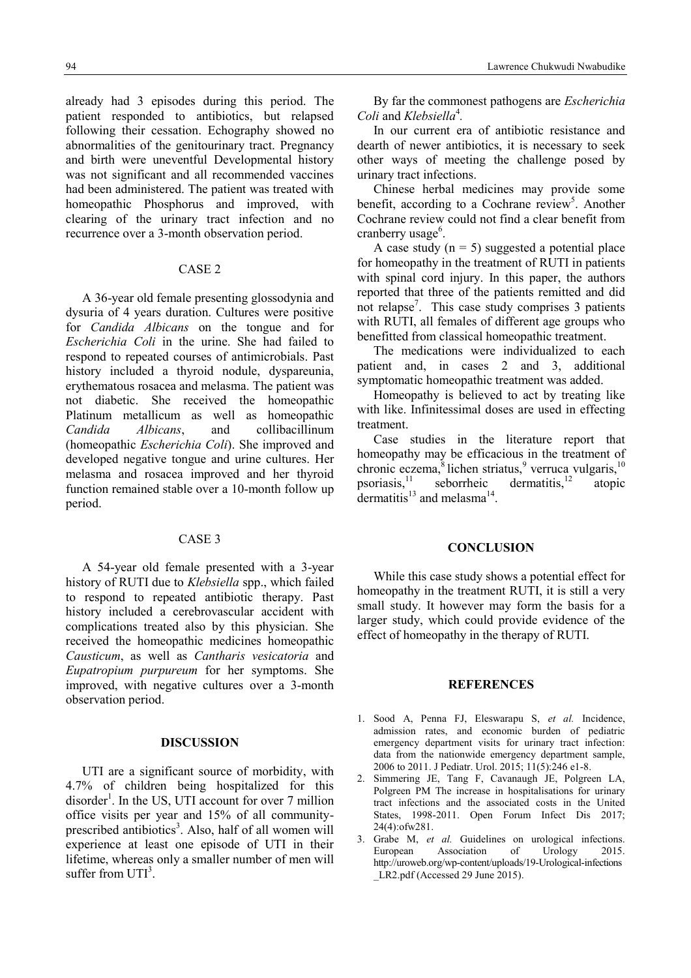already had 3 episodes during this period. The patient responded to antibiotics, but relapsed following their cessation. Echography showed no abnormalities of the genitourinary tract. Pregnancy and birth were uneventful Developmental history was not significant and all recommended vaccines had been administered. The patient was treated with homeopathic Phosphorus and improved, with clearing of the urinary tract infection and no recurrence over a 3-month observation period.

#### CASE 2

A 36-year old female presenting glossodynia and dysuria of 4 years duration. Cultures were positive for *Candida Albicans* on the tongue and for *Escherichia Coli* in the urine. She had failed to respond to repeated courses of antimicrobials. Past history included a thyroid nodule, dyspareunia, erythematous rosacea and melasma. The patient was not diabetic. She received the homeopathic Platinum metallicum as well as homeopathic *Candida Albicans*, and collibacillinum (homeopathic *Escherichia Coli*). She improved and developed negative tongue and urine cultures. Her melasma and rosacea improved and her thyroid function remained stable over a 10-month follow up period.

# CASE 3

A 54-year old female presented with a 3-year history of RUTI due to *Klebsiella* spp., which failed to respond to repeated antibiotic therapy. Past history included a cerebrovascular accident with complications treated also by this physician. She received the homeopathic medicines homeopathic *Causticum*, as well as *Cantharis vesicatoria* and *Eupatropium purpureum* for her symptoms. She improved, with negative cultures over a 3-month observation period.

### **DISCUSSION**

UTI are a significant source of morbidity, with 4.7% of children being hospitalized for this disorder<sup>1</sup>. In the US, UTI account for over 7 million office visits per year and 15% of all communityprescribed antibiotics<sup>3</sup>. Also, half of all women will experience at least one episode of UTI in their lifetime, whereas only a smaller number of men will suffer from  $UTI<sup>3</sup>$ .

By far the commonest pathogens are *Escherichia Coli* and *Klebsiella*<sup>4</sup> *.* 

In our current era of antibiotic resistance and dearth of newer antibiotics, it is necessary to seek other ways of meeting the challenge posed by urinary tract infections.

Chinese herbal medicines may provide some benefit, according to a Cochrane review<sup>5</sup>. Another Cochrane review could not find a clear benefit from cranberry usage<sup>6</sup>.

A case study  $(n = 5)$  suggested a potential place for homeopathy in the treatment of RUTI in patients with spinal cord injury. In this paper, the authors reported that three of the patients remitted and did not relapse<sup>7</sup>. This case study comprises 3 patients with RUTI, all females of different age groups who benefitted from classical homeopathic treatment.

The medications were individualized to each patient and, in cases 2 and 3, additional symptomatic homeopathic treatment was added.

Homeopathy is believed to act by treating like with like. Infinitessimal doses are used in effecting treatment.

Case studies in the literature report that homeopathy may be efficacious in the treatment of chronic eczema, $8$ lichen striatus, verruca vulgaris,  $10$ psoriasis, $\frac{11}{1}$  seborrheic dermatitis, $\frac{12}{1}$  atopic dermatitis<sup>13</sup> and melasma<sup>14</sup>.

### **CONCLUSION**

While this case study shows a potential effect for homeopathy in the treatment RUTI, it is still a very small study. It however may form the basis for a larger study, which could provide evidence of the effect of homeopathy in the therapy of RUTI.

### **REFERENCES**

- 1. Sood A, Penna FJ, Eleswarapu S, *et al.* Incidence, admission rates, and economic burden of pediatric emergency department visits for urinary tract infection: data from the nationwide emergency department sample, 2006 to 2011. J Pediatr. Urol. 2015; 11(5):246 e1-8.
- 2. Simmering JE, Tang F, Cavanaugh JE, Polgreen LA, Polgreen PM The increase in hospitalisations for urinary tract infections and the associated costs in the United States, 1998-2011. Open Forum Infect Dis 2017; 24(4):ofw281.
- 3. Grabe M, *et al.* Guidelines on urological infections. European Association of Urology 2015. [http://uroweb.org/wp-content/uploads/19-Urological-infections](http://uroweb.org/wp-content/uploads/19-Urological-infections%0b_LR2.pdf) [\\_LR2.pdf](http://uroweb.org/wp-content/uploads/19-Urological-infections%0b_LR2.pdf) (Accessed 29 June 2015).